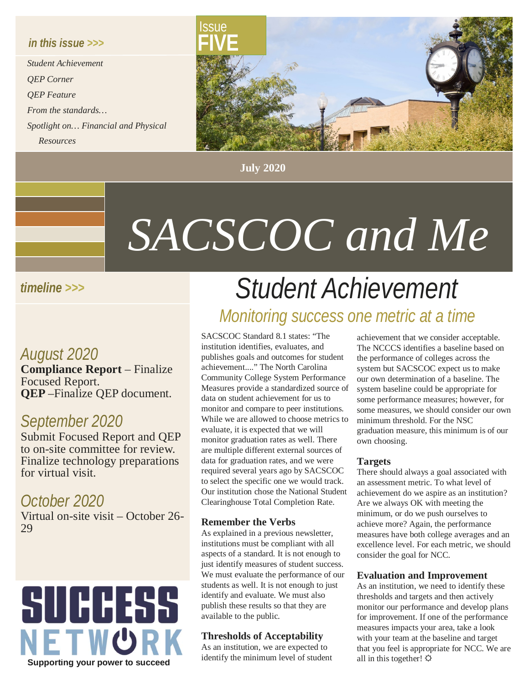### *in this issue >>>*

*Student Achievement QEP Corner QEP Feature From the standards… Spotlight on… Financial and Physical Resources*



**July 2020**

# *SACSCOC and Me*

### *timeline >>>*

# *August 2020*

**Compliance Report** – Finalize Focused Report. **QEP** –Finalize QEP document.

# *September 2020*

Submit Focused Report and QEP to on-site committee for review. Finalize technology preparations for virtual visit.

*October 2020* Virtual on-site visit – October 26- 29



# *Student Achievement Monitoring success one metric at a time*

SACSCOC Standard 8.1 states: "The institution identifies, evaluates, and publishes goals and outcomes for student achievement...." The North Carolina Community College System Performance Measures provide a standardized source of data on student achievement for us to monitor and compare to peer institutions. While we are allowed to choose metrics to evaluate, it is expected that we will monitor graduation rates as well. There are multiple different external sources of data for graduation rates, and we were required several years ago by SACSCOC to select the specific one we would track. Our institution chose the National Student Clearinghouse Total Completion Rate.

#### **Remember the Verbs**

As explained in a previous newsletter, institutions must be compliant with all aspects of a standard. It is not enough to just identify measures of student success. We must evaluate the performance of our students as well. It is not enough to just identify and evaluate. We must also publish these results so that they are available to the public.

#### **Thresholds of Acceptability**

As an institution, we are expected to identify the minimum level of student

achievement that we consider acceptable. The NCCCS identifies a baseline based on the performance of colleges across the system but SACSCOC expect us to make our own determination of a baseline. The system baseline could be appropriate for some performance measures; however, for some measures, we should consider our own minimum threshold. For the NSC graduation measure, this minimum is of our own choosing.

#### **Targets**

There should always a goal associated with an assessment metric. To what level of achievement do we aspire as an institution? Are we always OK with meeting the minimum, or do we push ourselves to achieve more? Again, the performance measures have both college averages and an excellence level. For each metric, we should consider the goal for NCC.

#### **Evaluation and Improvement**

As an institution, we need to identify these thresholds and targets and then actively monitor our performance and develop plans for improvement. If one of the performance measures impacts your area, take a look with your team at the baseline and target that you feel is appropriate for NCC. We are all in this together!  $\varphi$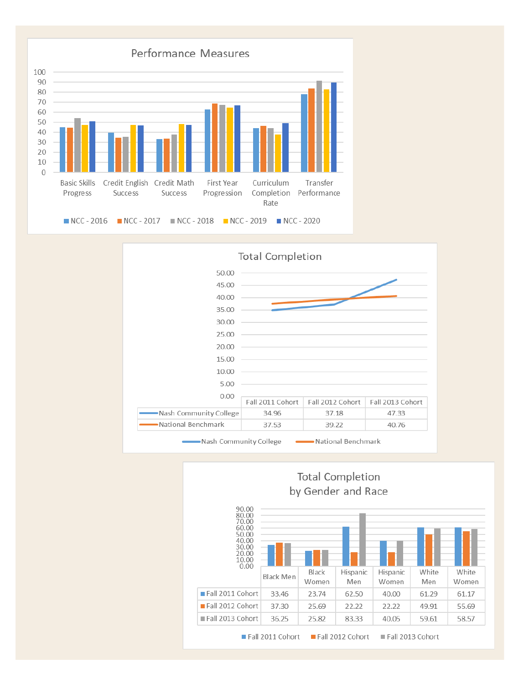



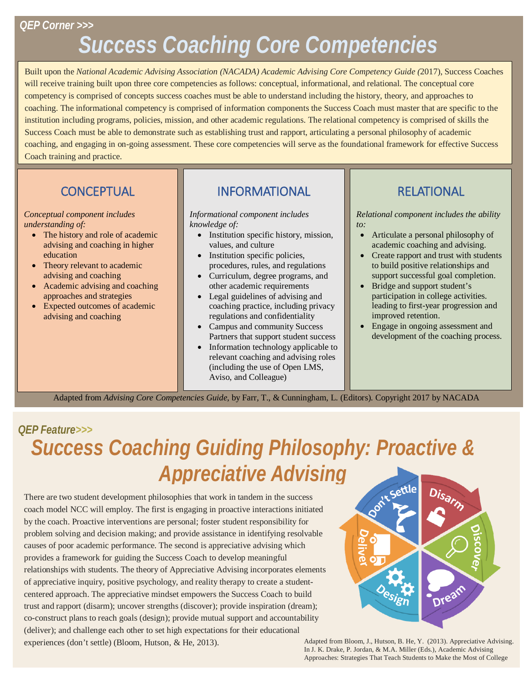### *QEP Corner >>>*

# *Success Coaching Core Competencies*

Built upon the *National Academic Advising Association (NACADA) Academic Advising Core Competency Guide (*2017), Success Coaches will receive training built upon three core competencies as follows: conceptual, informational, and relational. The conceptual core competency is comprised of concepts success coaches must be able to understand including the history, theory, and approaches to coaching. The informational competency is comprised of information components the Success Coach must master that are specific to the institution including programs, policies, mission, and other academic regulations. The relational competency is comprised of skills the Success Coach must be able to demonstrate such as establishing trust and rapport, articulating a personal philosophy of academic coaching, and engaging in on-going assessment. These core competencies will serve as the foundational framework for effective Success Coach training and practice.

# **CONCEPTUAL**

#### *Conceptual component includes understanding of:*

- The history and role of academic advising and coaching in higher education
- Theory relevant to academic advising and coaching
- Academic advising and coaching approaches and strategies
- Expected outcomes of academic advising and coaching

# INFORMATIONAL

*Informational component includes knowledge of:*

- Institution specific history, mission, values, and culture
- Institution specific policies, procedures, rules, and regulations
- Curriculum, degree programs, and other academic requirements
- Legal guidelines of advising and coaching practice, including privacy regulations and confidentiality
- Campus and community Success Partners that support student success
- Information technology applicable to relevant coaching and advising roles (including the use of Open LMS, Aviso, and Colleague)

# RELATIONAL

*Relational component includes the ability to:*

- Articulate a personal philosophy of academic coaching and advising.
- Create rapport and trust with students to build positive relationships and support successful goal completion.
- Bridge and support student's participation in college activities. leading to first-year progression and improved retention.
- Engage in ongoing assessment and development of the coaching process.

Adapted from *Advising Core Competencies Guide,* by Farr, T., & Cunningham, L. (Editors). Copyright 2017 by NACADA

## *QEP Feature>>>*

# *Success Coaching Guiding Philosophy: Proactive & Appreciative Advising*

There are two student development philosophies that work in tandem in the success coach model NCC will employ. The first is engaging in proactive interactions initiated by the coach. Proactive interventions are personal; foster student responsibility for problem solving and decision making; and provide assistance in identifying resolvable causes of poor academic performance. The second is appreciative advising which provides a framework for guiding the Success Coach to develop meaningful relationships with students. The theory of Appreciative Advising incorporates elements of appreciative inquiry, positive psychology, and reality therapy to create a studentcentered approach. The appreciative mindset empowers the Success Coach to build trust and rapport (disarm); uncover strengths (discover); provide inspiration (dream); co-construct plans to reach goals (design); provide mutual support and accountability (deliver); and challenge each other to set high expectations for their educational experiences (don't settle) (Bloom, Hutson, & He, 2013).



Adapted from Bloom, J., Hutson, B. He, Y. (2013). Appreciative Advising. In J. K. Drake, P. Jordan, & M.A. Miller (Eds.), Academic Advising Approaches: Strategies That Teach Students to Make the Most of College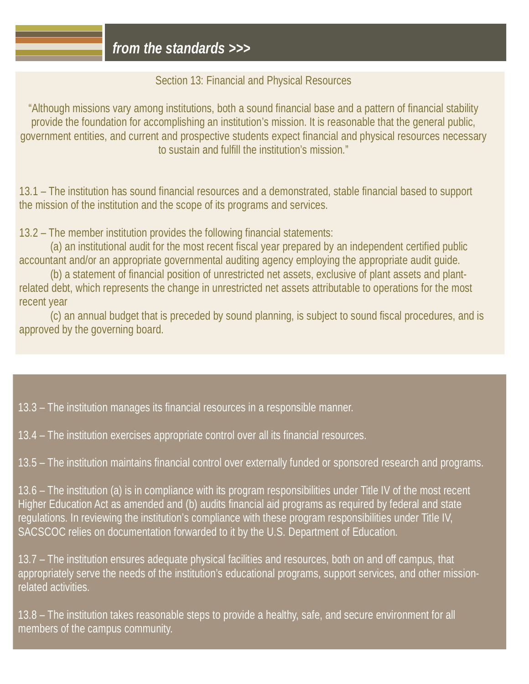### Section 13: Financial and Physical Resources

"Although missions vary among institutions, both a sound financial base and a pattern of financial stability provide the foundation for accomplishing an institution's mission. It is reasonable that the general public, government entities, and current and prospective students expect financial and physical resources necessary to sustain and fulfill the institution's mission."

13.1 – The institution has sound financial resources and a demonstrated, stable financial based to support the mission of the institution and the scope of its programs and services.

13.2 – The member institution provides the following financial statements:

(a) an institutional audit for the most recent fiscal year prepared by an independent certified public accountant and/or an appropriate governmental auditing agency employing the appropriate audit guide.

(b) a statement of financial position of unrestricted net assets, exclusive of plant assets and plantrelated debt, which represents the change in unrestricted net assets attributable to operations for the most recent year

(c) an annual budget that is preceded by sound planning, is subject to sound fiscal procedures, and is approved by the governing board.

13.3 – The institution manages its financial resources in a responsible manner.

13.4 – The institution exercises appropriate control over all its financial resources.

13.5 – The institution maintains financial control over externally funded or sponsored research and programs.

13.6 – The institution (a) is in compliance with its program responsibilities under Title IV of the most recent Higher Education Act as amended and (b) audits financial aid programs as required by federal and state regulations. In reviewing the institution's compliance with these program responsibilities under Title IV, SACSCOC relies on documentation forwarded to it by the U.S. Department of Education.

13.7 – The institution ensures adequate physical facilities and resources, both on and off campus, that appropriately serve the needs of the institution's educational programs, support services, and other missionrelated activities.

13.8 – The institution takes reasonable steps to provide a healthy, safe, and secure environment for all members of the campus community.